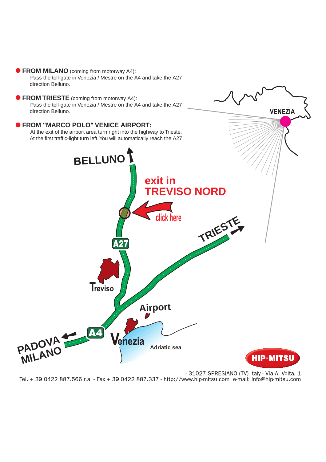## **FROM MILANO** (coming from motorway A4):

Pass the toll-gate in Venezia / Mestre on the A4 and take the A27 direction Belluno.

**FROM TRIESTE** (coming from motorway A4): Pass the toll-gate in Venezia / Mestre on the A4 and take the A27 direction Belluno.

## **FROM "MARCO POLO" VENICE AIRPORT:**



**VENEZIA** 

Tel. + 39 0422 887.566 r.a. - Fax + 39 0422 887.337 - http://www.hip-mitsu.com e-mail: info@hip-mitsu.com